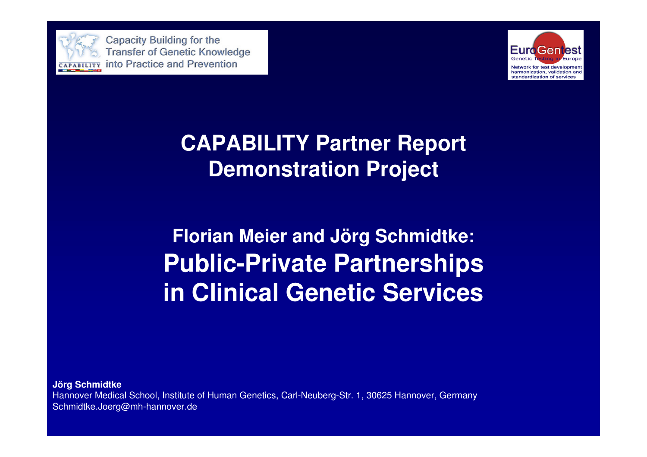

Capacity Building for the **Transfer of Genetic Knowledge** CAPABILITY Into Practice and Prevention



## **CAPABILITY Partner ReportDemonstration Project**

**Florian Meier and Jörg Schmidtke:Public-Private Partnerships in Clinical Genetic Services**

**Jörg Schmidtke** Hannover Medical School, Institute of Human Genetics, Carl-Neuberg-Str. 1, 30625 Hannover, GermanySchmidtke.Joerg@mh-hannover.de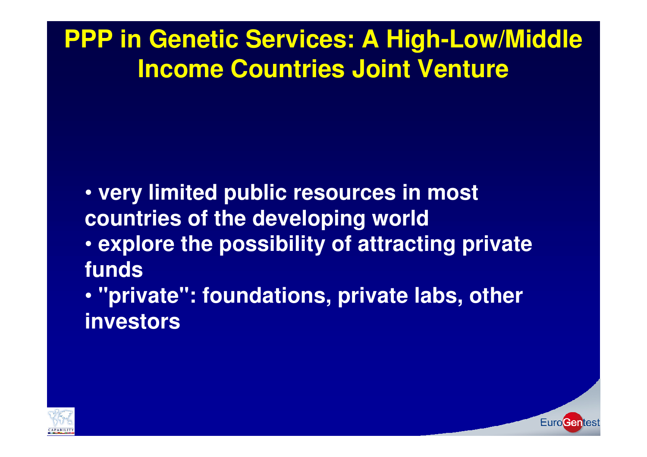## **PPP in Genetic Services: A High-Low/Middle Income Countries Joint Venture**

- **very limited public resources in most countries of the developing world**
- **explore the possibility of attracting private funds**
- **"private": foundations, private labs, otherinvestors**



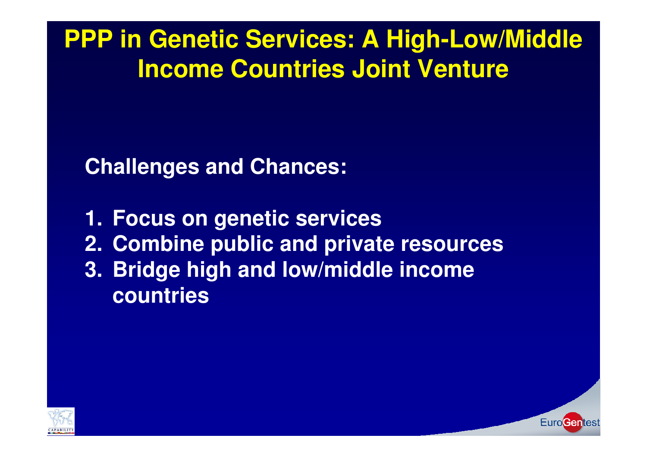**PPP in Genetic Services: A High-Low/Middle Income Countries Joint Venture**

**Challenges and Chances:**

**1. Focus on genetic services 2. Combine public and private resources3. Bridge high and low/middle incomecountries**

EuroGen

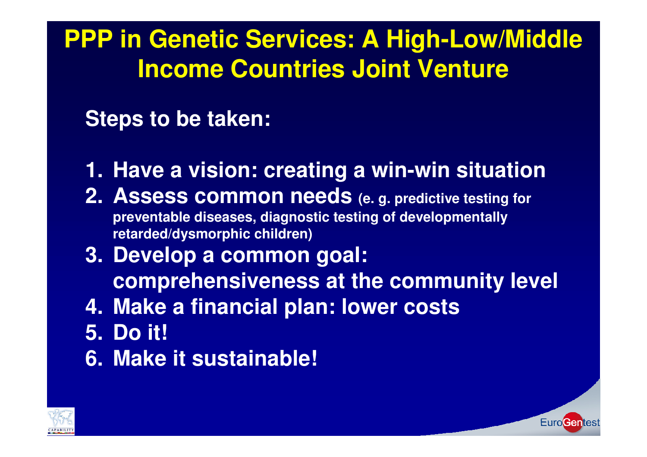## **PPP in Genetic Services: A High-Low/Middle Income Countries Joint Venture**

## **Steps to be taken:**

- **1. Have a vision: creating a win-win situation**
- **2. Assess common needs (e. g. predictive testing for preventable diseases, diagnostic testing of developmentallyretarded/dysmorphic children)**
- **3. Develop a common goal: comprehensiveness at the community level**

**EuroGentes** 

- **4. Make a financial plan: lower costs**
- **5. Do it!**
- **6. Make it sustainable!**

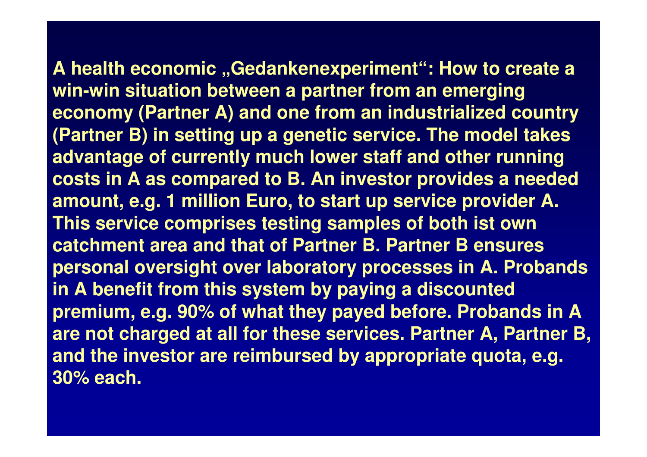**A health economic "Gedankenexperiment": How to create <sup>a</sup> win-win situation between a partner from an emerging economy (Partner A) and one from an industrialized country (Partner B) in setting up a genetic service. The model takes advantage of currently much lower staff and other running costs in A as compared to B. An investor provides a neededamount, e.g. 1 million Euro, to start up service provider A. This service comprises testing samples of both ist own catchment area and that of Partner B. Partner B ensures personal oversight over laboratory processes in A. Probands in A benefit from this system by paying a discounted premium, e.g. 90% of what they payed before. Probands in A are not charged at all for these services. Partner A, Partner B, and the investor are reimbursed by appropriate quota, e.g. 30% each.**